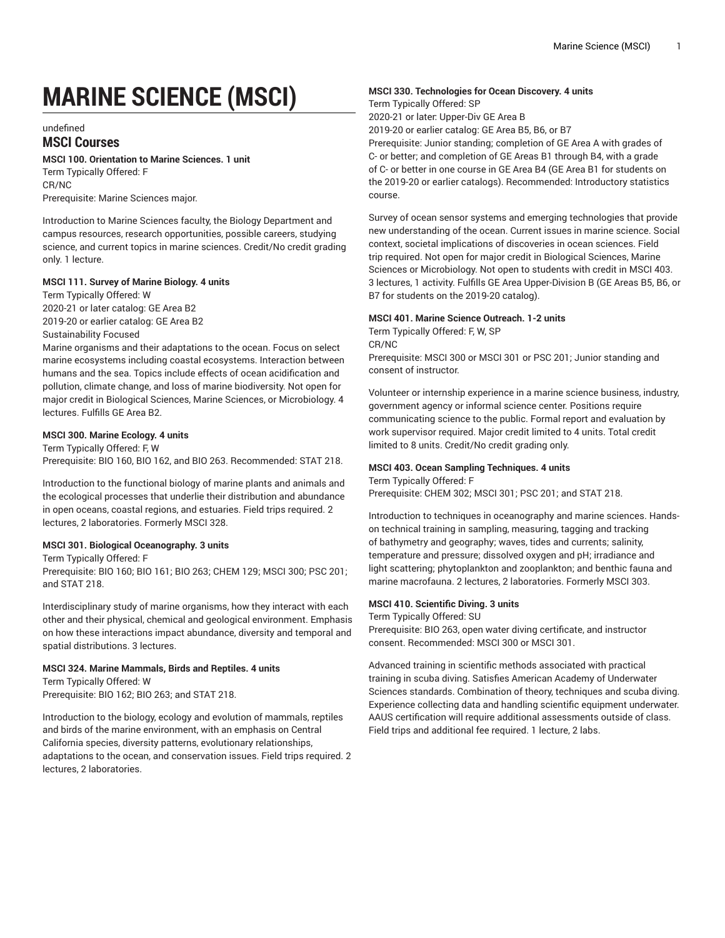# **MARINE SCIENCE (MSCI)**

undefined

# **MSCI Courses**

### **MSCI 100. Orientation to Marine Sciences. 1 unit**

Term Typically Offered: F CR/NC Prerequisite: Marine Sciences major.

Introduction to Marine Sciences faculty, the Biology Department and campus resources, research opportunities, possible careers, studying science, and current topics in marine sciences. Credit/No credit grading only. 1 lecture.

# **MSCI 111. Survey of Marine Biology. 4 units**

Term Typically Offered: W 2020-21 or later catalog: GE Area B2 2019-20 or earlier catalog: GE Area B2 Sustainability Focused

Marine organisms and their adaptations to the ocean. Focus on select marine ecosystems including coastal ecosystems. Interaction between humans and the sea. Topics include effects of ocean acidification and pollution, climate change, and loss of marine biodiversity. Not open for major credit in Biological Sciences, Marine Sciences, or Microbiology. 4 lectures. Fulfills GE Area B2.

#### **MSCI 300. Marine Ecology. 4 units**

Term Typically Offered: F, W Prerequisite: BIO 160, BIO 162, and BIO 263. Recommended: STAT 218.

Introduction to the functional biology of marine plants and animals and the ecological processes that underlie their distribution and abundance in open oceans, coastal regions, and estuaries. Field trips required. 2 lectures, 2 laboratories. Formerly MSCI 328.

# **MSCI 301. Biological Oceanography. 3 units**

Term Typically Offered: F

Prerequisite: BIO 160; BIO 161; BIO 263; CHEM 129; MSCI 300; PSC 201; and STAT 218.

Interdisciplinary study of marine organisms, how they interact with each other and their physical, chemical and geological environment. Emphasis on how these interactions impact abundance, diversity and temporal and spatial distributions. 3 lectures.

#### **MSCI 324. Marine Mammals, Birds and Reptiles. 4 units**

Term Typically Offered: W Prerequisite: BIO 162; BIO 263; and STAT 218.

Introduction to the biology, ecology and evolution of mammals, reptiles and birds of the marine environment, with an emphasis on Central California species, diversity patterns, evolutionary relationships, adaptations to the ocean, and conservation issues. Field trips required. 2 lectures, 2 laboratories.

#### **MSCI 330. Technologies for Ocean Discovery. 4 units**

Term Typically Offered: SP 2020-21 or later: Upper-Div GE Area B

2019-20 or earlier catalog: GE Area B5, B6, or B7

Prerequisite: Junior standing; completion of GE Area A with grades of C- or better; and completion of GE Areas B1 through B4, with a grade of C- or better in one course in GE Area B4 (GE Area B1 for students on the 2019-20 or earlier catalogs). Recommended: Introductory statistics course.

Survey of ocean sensor systems and emerging technologies that provide new understanding of the ocean. Current issues in marine science. Social context, societal implications of discoveries in ocean sciences. Field trip required. Not open for major credit in Biological Sciences, Marine Sciences or Microbiology. Not open to students with credit in MSCI 403. 3 lectures, 1 activity. Fulfills GE Area Upper-Division B (GE Areas B5, B6, or B7 for students on the 2019-20 catalog).

#### **MSCI 401. Marine Science Outreach. 1-2 units**

Term Typically Offered: F, W, SP CR/NC

Prerequisite: MSCI 300 or MSCI 301 or PSC 201; Junior standing and consent of instructor.

Volunteer or internship experience in a marine science business, industry, government agency or informal science center. Positions require communicating science to the public. Formal report and evaluation by work supervisor required. Major credit limited to 4 units. Total credit limited to 8 units. Credit/No credit grading only.

# **MSCI 403. Ocean Sampling Techniques. 4 units**

Term Typically Offered: F Prerequisite: CHEM 302; MSCI 301; PSC 201; and STAT 218.

Introduction to techniques in oceanography and marine sciences. Handson technical training in sampling, measuring, tagging and tracking of bathymetry and geography; waves, tides and currents; salinity, temperature and pressure; dissolved oxygen and pH; irradiance and light scattering; phytoplankton and zooplankton; and benthic fauna and marine macrofauna. 2 lectures, 2 laboratories. Formerly MSCI 303.

#### **MSCI 410. Scientific Diving. 3 units**

Term Typically Offered: SU

Prerequisite: BIO 263, open water diving certificate, and instructor consent. Recommended: MSCI 300 or MSCI 301.

Advanced training in scientific methods associated with practical training in scuba diving. Satisfies American Academy of Underwater Sciences standards. Combination of theory, techniques and scuba diving. Experience collecting data and handling scientific equipment underwater. AAUS certification will require additional assessments outside of class. Field trips and additional fee required. 1 lecture, 2 labs.